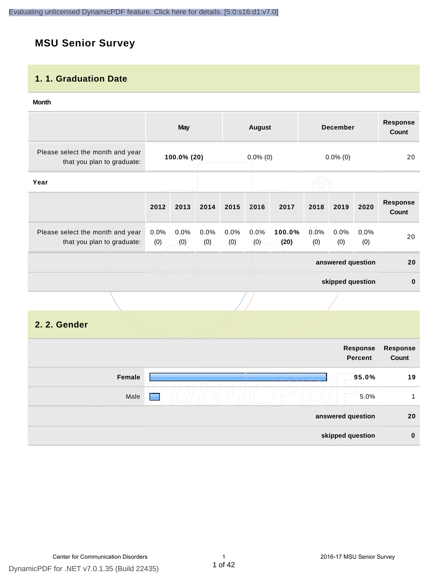# **MSU Senior Survey**

### **1. 1. Graduation Date**

#### **Month**

|                                                                |                | <b>May</b>  |             |             | August      |                |             | <b>December</b>   |             | <b>Response</b><br><b>Count</b> |
|----------------------------------------------------------------|----------------|-------------|-------------|-------------|-------------|----------------|-------------|-------------------|-------------|---------------------------------|
| Please select the month and year<br>that you plan to graduate: |                | 100.0% (20) |             |             | $0.0\%$ (0) |                |             | $0.0\%$ (0)       |             | 20                              |
| Year                                                           |                |             |             |             |             |                |             |                   |             |                                 |
|                                                                | 2012           | 2013        | 2014        | 2015        | 2016        | 2017           | 2018        | 2019              | 2020        | <b>Response</b><br>Count        |
| Please select the month and year<br>that you plan to graduate: | $0.0\%$<br>(0) | 0.0%<br>(0) | 0.0%<br>(0) | 0.0%<br>(0) | 0.0%<br>(0) | 100.0%<br>(20) | 0.0%<br>(0) | $0.0\%$<br>(0)    | 0.0%<br>(0) | 20                              |
|                                                                |                |             |             |             |             |                |             | answered question |             | 20                              |
|                                                                |                |             |             |             |             |                |             | skipped question  |             | $\bf{0}$                        |
|                                                                |                |             |             |             |             |                |             |                   |             |                                 |

# **2. 2. Gender**

|        | Response<br><b>Percent</b> | Response<br>Count |
|--------|----------------------------|-------------------|
| Female | 95.0%                      | 19                |
| Male   | 5.0%<br><b>September</b>   | 1                 |
|        | answered question          | 20                |
|        | skipped question           | $\bf{0}$          |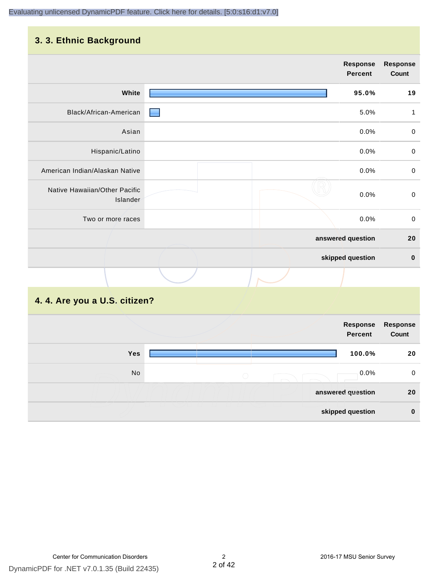# **3. 3. Ethnic Background**

|                                           | Response<br>Percent | <b>Response</b><br>Count |
|-------------------------------------------|---------------------|--------------------------|
| White                                     | 95.0%               | 19                       |
| Black/African-American                    | 5.0%                | 1                        |
| Asian                                     | 0.0%                | $\pmb{0}$                |
| Hispanic/Latino                           | 0.0%                | $\mathbf 0$              |
| American Indian/Alaskan Native            | 0.0%                | $\mathbf 0$              |
| Native Hawaiian/Other Pacific<br>Islander | 0.0%                | $\mathbf 0$              |
| Two or more races                         | 0.0%                | $\mathbf 0$              |
|                                           | answered question   | 20                       |
|                                           | skipped question    | $\bf{0}$                 |
|                                           |                     |                          |

# **4. 4. Are you a U.S. citizen?**

|     | Response<br><b>Percent</b> | Response<br>Count |
|-----|----------------------------|-------------------|
| Yes | 100.0%                     | 20                |
| No  | 0.0%<br>$\bigcirc$         | $\mathbf 0$       |
|     | answered question          | 20                |
|     | skipped question           | $\mathbf 0$       |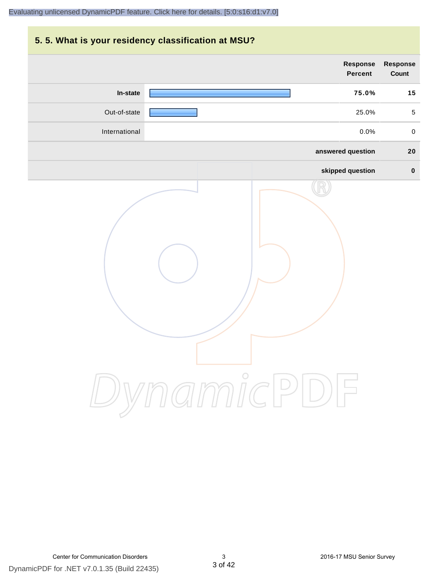# **5. 5. What is your residency classification at MSU? answered question 20 skipped question 0 Response Percent Response Count In-state 75.0% 15** Out-of-state 25.0% 5 International 0.0% 0

DynamicPDF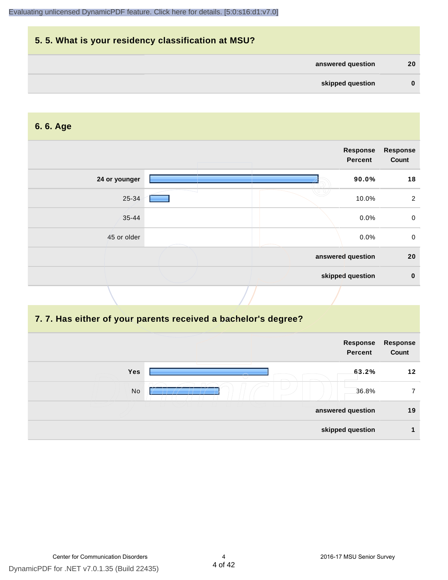| 5.5. What is your residency classification at MSU? |              |
|----------------------------------------------------|--------------|
| answered question                                  | 20           |
| skipped question                                   | $\mathbf{0}$ |

#### **6. 6. Age**

|               | Response<br>Percent | Response<br>Count |
|---------------|---------------------|-------------------|
| 24 or younger | 90.0%               | 18                |
| 25-34         | 10.0%               | $\overline{2}$    |
| $35 - 44$     | 0.0%                | $\mathbf 0$       |
| 45 or older   | 0.0%                | $\mathbf 0$       |
|               | answered question   | 20                |
|               | skipped question    | $\mathbf 0$       |
|               |                     |                   |

#### **7. 7. Has either of your parents received a bachelor's degree?**

|            | Response<br><b>Percent</b> | Response<br>Count |
|------------|----------------------------|-------------------|
| <b>Yes</b> | 63.2%                      | 12                |
| No         | 36.8%                      |                   |
|            | answered question          | 19                |
|            | skipped question           |                   |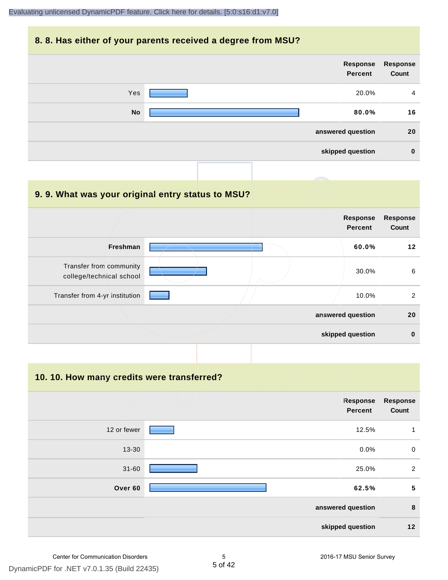#### **8. 8. Has either of your parents received a degree from MSU?**

| <b>Response</b><br>Count | Response<br>Percent |           |
|--------------------------|---------------------|-----------|
| $\overline{4}$           | 20.0%               | Yes       |
| 16                       | 80.0%               | <b>No</b> |
| 20                       | answered question   |           |
| $\bf{0}$                 | skipped question    |           |

| 9.9. What was your original entry status to MSU?    |                                   |                          |
|-----------------------------------------------------|-----------------------------------|--------------------------|
|                                                     | <b>Response</b><br><b>Percent</b> | <b>Response</b><br>Count |
| Freshman                                            | 60.0%                             | $12 \,$                  |
| Transfer from community<br>college/technical school | 30.0%                             | 6                        |
| Transfer from 4-yr institution                      | 10.0%                             | 2                        |
|                                                     | answered question                 | 20                       |
|                                                     | skipped question                  | $\bf{0}$                 |

**10. 10. How many credits were transferred?**

|             | Response<br><b>Percent</b> | <b>Response</b><br>Count |
|-------------|----------------------------|--------------------------|
| 12 or fewer | 12.5%                      | 1                        |
| 13-30       | 0.0%                       | $\mathbf 0$              |
| $31 - 60$   | 25.0%                      | 2                        |
| Over 60     | 62.5%                      | 5                        |
|             | answered question          | $\bf8$                   |
|             | skipped question           | 12                       |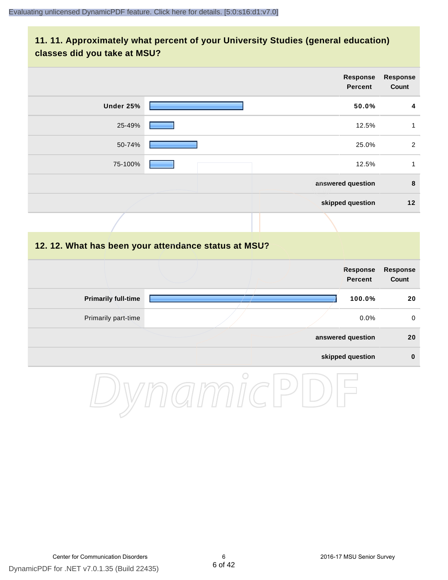## **11. 11. Approximately what percent of your University Studies (general education) classes did you take at MSU?**

|                            | <b>Response</b><br><b>Percent</b>                    | <b>Response</b><br>Count |
|----------------------------|------------------------------------------------------|--------------------------|
| Under 25%                  | 50.0%                                                | $\overline{4}$           |
| 25-49%                     | 12.5%                                                | $\mathbf{1}$             |
| 50-74%                     | 25.0%                                                | $\overline{2}$           |
| 75-100%                    | 12.5%                                                | $\mathbf{1}$             |
|                            | answered question                                    | $\bf8$                   |
|                            | skipped question                                     | $12$                     |
|                            |                                                      |                          |
|                            | 12. 12. What has been your attendance status at MSU? |                          |
|                            | <b>Response</b><br><b>Percent</b>                    | <b>Response</b><br>Count |
| <b>Primarily full-time</b> | 100.0%                                               | 20                       |
| Primarily part-time        | 0.0%                                                 | $\mathbf 0$              |
|                            | answered question                                    | 20                       |

#### **skipped question 0**

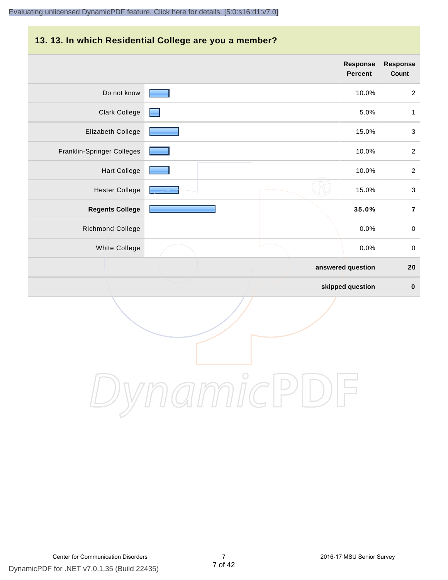#### **13. 13. In which Residential College are you a member?**

|                            | <b>Response</b><br><b>Percent</b> | Response<br><b>Count</b>  |
|----------------------------|-----------------------------------|---------------------------|
| Do not know                | 10.0%                             | $\overline{2}$            |
| <b>Clark College</b>       | 5.0%                              | 1                         |
| Elizabeth College          | 15.0%                             | $\mathfrak{S}$            |
| Franklin-Springer Colleges | 10.0%                             | $\overline{2}$            |
| <b>Hart College</b>        | 10.0%                             | $\overline{2}$            |
| <b>Hester College</b>      | 15.0%                             | $\ensuremath{\mathsf{3}}$ |
| <b>Regents College</b>     | 35.0%                             | $\overline{7}$            |
| Richmond College           | 0.0%                              | $\,0\,$                   |
| <b>White College</b>       | 0.0%                              | $\pmb{0}$                 |
|                            | answered question                 | 20                        |
|                            | skipped question                  | $\pmb{0}$                 |

DynamicPDF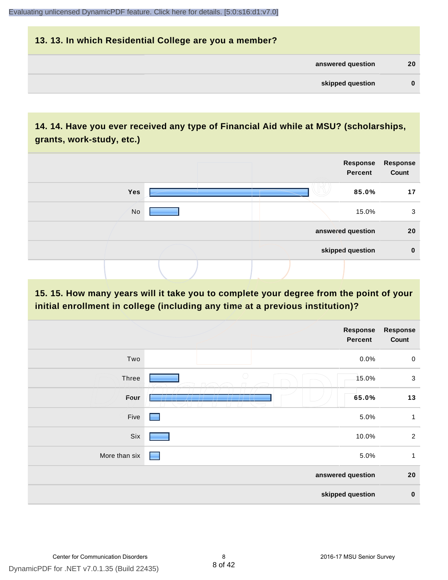# **13. 13. In which Residential College are you a member? answered question 20 skipped question 0**

# **14. 14. Have you ever received any type of Financial Aid while at MSU? (scholarships, grants, work-study, etc.)**



**15. 15. How many years will it take you to complete your degree from the point of your initial enrollment in college (including any time at a previous institution)?**

|               |            | <b>Response</b><br>Percent | <b>Response</b><br>Count |
|---------------|------------|----------------------------|--------------------------|
| Two           |            | 0.0%                       | $\mathbf 0$              |
| Three         | $\bigcirc$ | 15.0%                      | $\mathbf{3}$             |
| Four          |            | 65.0%                      | 13                       |
| Five          | ٠          | 5.0%                       | 1                        |
| Six           |            | 10.0%                      | $\overline{2}$           |
| More than six | r.         | 5.0%                       | $\mathbf{1}$             |
|               |            | answered question          | 20                       |
|               |            | skipped question           | $\bf{0}$                 |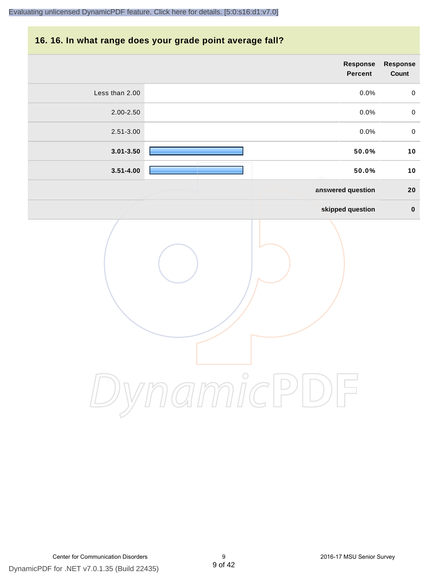#### **16. 16. In what range does your grade point average fall?**

|                | Response<br>Percent | Response<br>Count |
|----------------|---------------------|-------------------|
| Less than 2.00 | 0.0%                | $\mathsf 0$       |
| 2.00-2.50      | 0.0%                | $\pmb{0}$         |
| 2.51-3.00      | 0.0%                | $\pmb{0}$         |
| $3.01 - 3.50$  | 50.0%               | 10                |
| $3.51 - 4.00$  | 50.0%               | 10                |
|                | answered question   | ${\bf 20}$        |
|                | skipped question    | $\pmb{0}$         |
|                |                     |                   |

DynamicPDF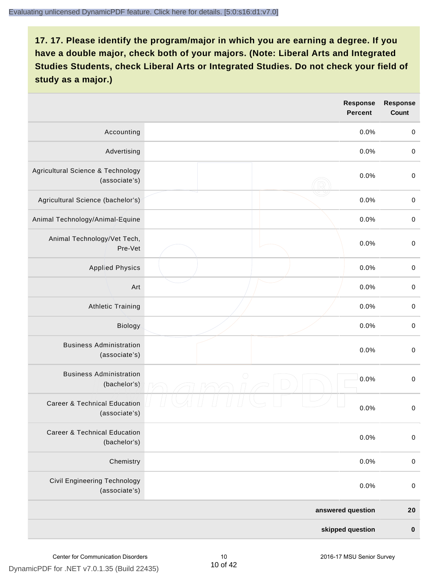|                                                          |            | <b>Response</b><br><b>Percent</b> | <b>Response</b><br><b>Count</b> |
|----------------------------------------------------------|------------|-----------------------------------|---------------------------------|
| Accounting                                               |            | 0.0%                              | $\pmb{0}$                       |
| Advertising                                              |            | 0.0%                              | $\boldsymbol{0}$                |
| Agricultural Science & Technology<br>(associate's)       |            | 0.0%                              | $\pmb{0}$                       |
| Agricultural Science (bachelor's)                        |            | 0.0%                              | $\mathbf 0$                     |
| Animal Technology/Animal-Equine                          |            | 0.0%                              | $\mathbf 0$                     |
| Animal Technology/Vet Tech,<br>Pre-Vet                   |            | 0.0%                              | $\mathbf 0$                     |
| <b>Applied Physics</b>                                   |            | 0.0%                              | $\mathbf 0$                     |
| Art                                                      |            | 0.0%                              | $\mathbf 0$                     |
| <b>Athletic Training</b>                                 |            | 0.0%                              | $\pmb{0}$                       |
| Biology                                                  |            | 0.0%                              | $\boldsymbol{0}$                |
| <b>Business Administration</b><br>(associate's)          |            | 0.0%                              | $\pmb{0}$                       |
| <b>Business Administration</b><br>(bachelor's)           | $\bigcirc$ | 0.0%                              | $\boldsymbol{0}$                |
| <b>Career &amp; Technical Education</b><br>(associate's) |            | 0.0%                              | $\mathbf 0$                     |
| <b>Career &amp; Technical Education</b><br>(bachelor's)  |            | 0.0%                              | $\pmb{0}$                       |
| Chemistry                                                |            | 0.0%                              | $\pmb{0}$                       |
| Civil Engineering Technology<br>(associate's)            |            | 0.0%                              | $\pmb{0}$                       |
|                                                          |            | answered question                 | 20                              |
|                                                          |            | skipped question                  | $\pmb{0}$                       |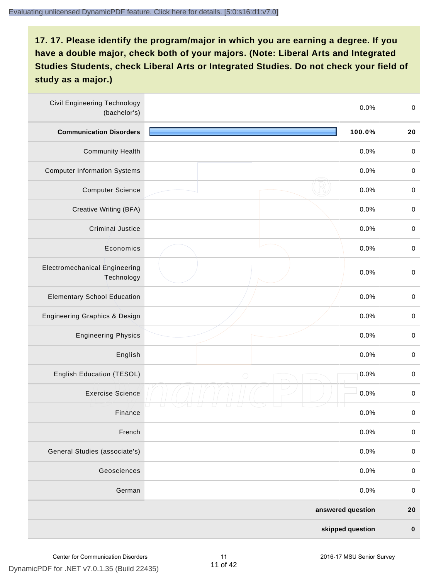| <b>Civil Engineering Technology</b><br>(bachelor's) |            | 0.0%              | $\mathbf 0$ |
|-----------------------------------------------------|------------|-------------------|-------------|
| <b>Communication Disorders</b>                      |            | 100.0%            | 20          |
| <b>Community Health</b>                             |            | 0.0%              | $\pmb{0}$   |
| <b>Computer Information Systems</b>                 |            | 0.0%              | $\pmb{0}$   |
| <b>Computer Science</b>                             |            | 0.0%              | $\pmb{0}$   |
| Creative Writing (BFA)                              |            | 0.0%              | $\mathbf 0$ |
| <b>Criminal Justice</b>                             |            | 0.0%              | $\mathbf 0$ |
| Economics                                           |            | 0.0%              | $\mathbf 0$ |
| <b>Electromechanical Engineering</b><br>Technology  |            | 0.0%              | $\mathbf 0$ |
| <b>Elementary School Education</b>                  |            | 0.0%              | $\mathbf 0$ |
| <b>Engineering Graphics &amp; Design</b>            |            | 0.0%              | $\,0\,$     |
| <b>Engineering Physics</b>                          |            | 0.0%              | $\mathbf 0$ |
| English                                             |            | 0.0%              | $\mathbf 0$ |
| English Education (TESOL)                           | $\bigcirc$ | 0.0%              | $\pmb{0}$   |
| <b>Exercise Science</b>                             |            | 0.0%              | $\pmb{0}$   |
| Finance                                             |            | 0.0%              | $\,0\,$     |
| French                                              |            | 0.0%              | $\pmb{0}$   |
| General Studies (associate's)                       |            | 0.0%              | $\mathbf 0$ |
| Geosciences                                         |            | 0.0%              | $\mathbf 0$ |
| German                                              |            | 0.0%              | $\pmb{0}$   |
|                                                     |            | answered question | 20          |
|                                                     |            | skipped question  | $\pmb{0}$   |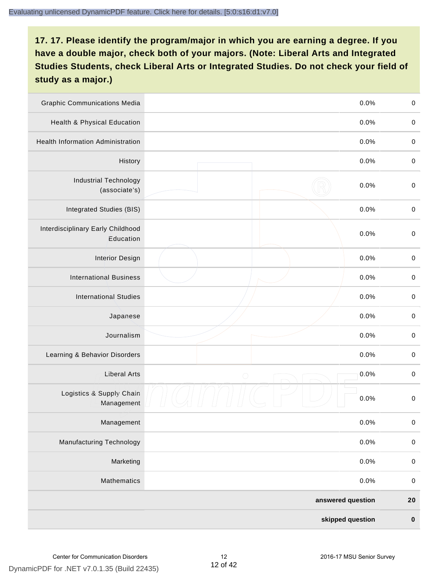| <b>Graphic Communications Media</b>            |                   | 0.0%             | $\,0\,$     |
|------------------------------------------------|-------------------|------------------|-------------|
| Health & Physical Education                    |                   | 0.0%             | $\mathbf 0$ |
| <b>Health Information Administration</b>       |                   | 0.0%             | $\mathbf 0$ |
| History                                        |                   | 0.0%             | $\pmb{0}$   |
| <b>Industrial Technology</b><br>(associate's)  |                   | 0.0%             | $\mathbf 0$ |
| Integrated Studies (BIS)                       |                   | 0.0%             | $\mathbf 0$ |
| Interdisciplinary Early Childhood<br>Education |                   | 0.0%             | $\mathbf 0$ |
| <b>Interior Design</b>                         |                   | 0.0%             | $\pmb{0}$   |
| <b>International Business</b>                  |                   | 0.0%             | $\mathbf 0$ |
| <b>International Studies</b>                   |                   | 0.0%             | $\,0\,$     |
| Japanese                                       |                   | 0.0%             | $\pmb{0}$   |
| Journalism                                     |                   | 0.0%             | $\pmb{0}$   |
| Learning & Behavior Disorders                  |                   | 0.0%             | $\pmb{0}$   |
| <b>Liberal Arts</b>                            | $\bigcirc$        | 0.0%             | $\mathbf 0$ |
| Logistics & Supply Chain<br>Management         |                   | 0.0%             | $\pmb{0}$   |
| Management                                     |                   | 0.0%             | $\pmb{0}$   |
| <b>Manufacturing Technology</b>                |                   | 0.0%             | $\mathbf 0$ |
| Marketing                                      |                   | 0.0%             | $\mathbf 0$ |
| Mathematics                                    |                   | 0.0%             | $\,0\,$     |
|                                                | answered question |                  | $20\,$      |
|                                                |                   | skipped question | $\pmb{0}$   |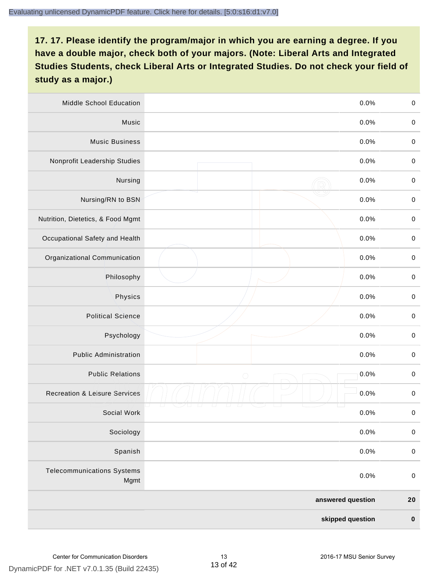| Middle School Education                   | 0.0%               | $\,0\,$     |
|-------------------------------------------|--------------------|-------------|
| Music                                     | 0.0%               | $\pmb{0}$   |
| <b>Music Business</b>                     | 0.0%               | $\mathbf 0$ |
| Nonprofit Leadership Studies              | 0.0%               | $\pmb{0}$   |
| Nursing                                   | 0.0%               | $\pmb{0}$   |
| Nursing/RN to BSN                         | 0.0%               | $\,0\,$     |
| Nutrition, Dietetics, & Food Mgmt         | 0.0%               | $\pmb{0}$   |
| Occupational Safety and Health            | 0.0%               | $\mathbf 0$ |
| Organizational Communication              | 0.0%               | $\pmb{0}$   |
| Philosophy                                | 0.0%               | $\pmb{0}$   |
| Physics                                   | 0.0%               | $\,0\,$     |
| <b>Political Science</b>                  | 0.0%               | $\mathbf 0$ |
| Psychology                                | 0.0%               | $\mathbf 0$ |
| <b>Public Administration</b>              | 0.0%               | $\pmb{0}$   |
| <b>Public Relations</b>                   | 0.0%<br>$\bigcirc$ | $\pmb{0}$   |
| <b>Recreation &amp; Leisure Services</b>  | 0.0%               | $\pmb{0}$   |
| Social Work                               | 0.0%               | $\pmb{0}$   |
| Sociology                                 | 0.0%               | $\mathbf 0$ |
| Spanish                                   | 0.0%               | $\mathbf 0$ |
| <b>Telecommunications Systems</b><br>Mgmt | 0.0%               | $\mathbf 0$ |
|                                           | answered question  | ${\bf 20}$  |
|                                           | skipped question   | $\pmb{0}$   |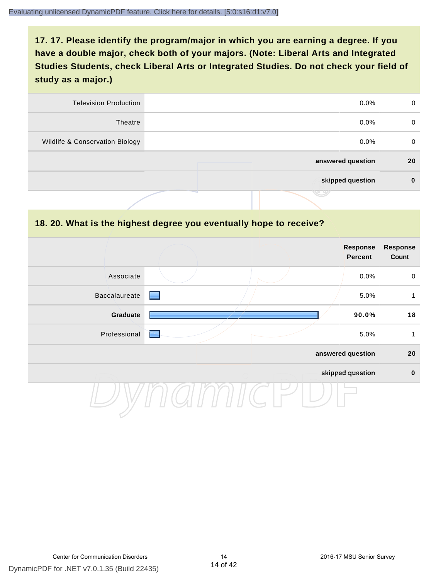| 0  | $0.0\%$           | <b>Television Production</b>    |
|----|-------------------|---------------------------------|
| 0  | $0.0\%$           | Theatre                         |
| 0  | $0.0\%$           | Wildlife & Conservation Biology |
| 20 | answered question |                                 |
| 0  | skipped question  |                                 |
|    | マッ                |                                 |

#### **18. 20. What is the highest degree you eventually hope to receive?**

|               |  | Response<br>Percent | <b>Response</b><br>Count |
|---------------|--|---------------------|--------------------------|
| Associate     |  | 0.0%                | $\mathbf 0$              |
| Baccalaureate |  | 5.0%                | 1                        |
| Graduate      |  | 90.0%               | 18                       |
| Professional  |  | 5.0%                | 1                        |
|               |  | answered question   | 20                       |
|               |  | skipped question    | $\pmb{0}$                |
|               |  |                     |                          |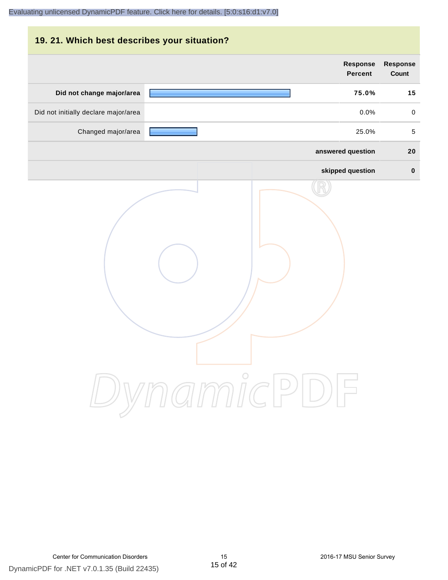# **19. 21. Which best describes your situation? Response Response Percent Count Did not change major/area 75.0% 15** Did not initially declare major/area  $0.0\%$  0.0% 0.0% Changed major/area **25.0%** 5 **answered question 20 skipped question 0** DynamicPDF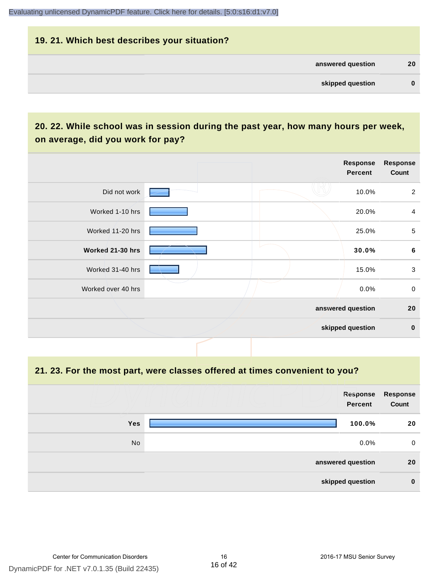# **19. 21. Which best describes your situation? answered question 20 skipped question 0**

# **20. 22. While school was in session during the past year, how many hours per week, on average, did you work for pay?**

|                    |  | Response<br>Percent | <b>Response</b><br>Count |
|--------------------|--|---------------------|--------------------------|
| Did not work       |  | 10.0%               | $\overline{2}$           |
| Worked 1-10 hrs    |  | 20.0%               | $\overline{4}$           |
| Worked 11-20 hrs   |  | 25.0%               | 5                        |
| Worked 21-30 hrs   |  | 30.0%               | $\bf 6$                  |
| Worked 31-40 hrs   |  | 15.0%               | $\mathbf{3}$             |
| Worked over 40 hrs |  | 0.0%                | $\mathbf 0$              |
|                    |  | answered question   | 20                       |
|                    |  | skipped question    | $\mathbf 0$              |

**21. 23. For the most part, were classes offered at times convenient to you?**

|            | Response<br>Percent | Response<br>Count |
|------------|---------------------|-------------------|
| <b>Yes</b> | 100.0%              | 20                |
| No         | $0.0\%$             | 0                 |
|            | answered question   | 20                |
|            | skipped question    | $\bf{0}$          |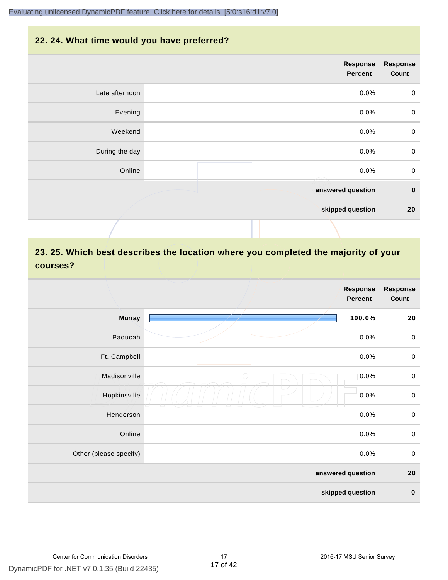#### **22. 24. What time would you have preferred?**

|                | Response<br>Percent | <b>Response</b><br>Count |
|----------------|---------------------|--------------------------|
| Late afternoon | 0.0%                | $\mathbf 0$              |
| Evening        | 0.0%                | $\pmb{0}$                |
| Weekend        | 0.0%                | $\pmb{0}$                |
| During the day | 0.0%                | $\pmb{0}$                |
| Online         | 0.0%                | $\mathbf 0$              |
|                | answered question   | $\pmb{0}$                |
|                | skipped question    | 20                       |
|                |                     |                          |

# **23. 25. Which best describes the location where you completed the majority of your courses?**

|                        |            | <b>Response</b><br><b>Percent</b> | <b>Response</b><br>Count |
|------------------------|------------|-----------------------------------|--------------------------|
| <b>Murray</b>          |            | 100.0%                            | 20                       |
| Paducah                |            | 0.0%                              | $\mathbf 0$              |
| Ft. Campbell           |            | 0.0%                              | $\pmb{0}$                |
| Madisonville           | $\bigcirc$ | 0.0%                              | $\mathbf 0$              |
| Hopkinsville           |            | 0.0%                              | $\pmb{0}$                |
| Henderson              |            | 0.0%                              | $\mathbf 0$              |
| Online                 |            | 0.0%                              | $\pmb{0}$                |
| Other (please specify) |            | 0.0%                              | $\mathbf 0$              |
|                        |            | answered question                 | 20                       |
|                        |            | skipped question                  | $\pmb{0}$                |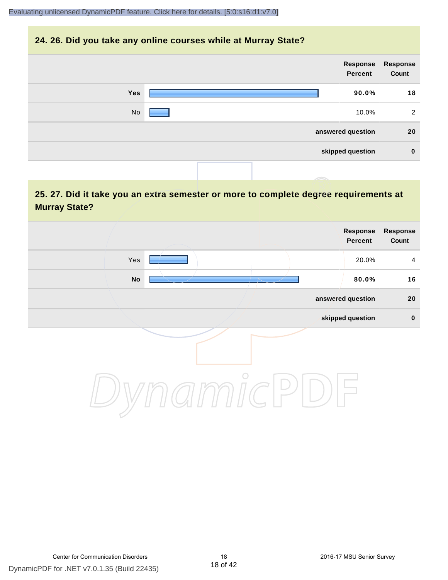#### **24. 26. Did you take any online courses while at Murray State?**

| <b>Response</b><br>Count | Response<br>Percent |            |  |
|--------------------------|---------------------|------------|--|
| 18                       | 90.0%               | <b>Yes</b> |  |
| 2                        | 10.0%               | No         |  |
| 20                       | answered question   |            |  |
| $\bf{0}$                 | skipped question    |            |  |
|                          |                     |            |  |

# **25. 27. Did it take you an extra semester or more to complete degree requirements at Murray State?**

| Response<br>Count | Response<br>Percent |         |            |  |
|-------------------|---------------------|---------|------------|--|
| $\overline{4}$    | 20.0%               |         | Yes        |  |
| 16                | 80.0%               |         | ${\sf No}$ |  |
| $20\,$            | answered question   |         |            |  |
| $\pmb{0}$         | skipped question    |         |            |  |
|                   |                     | $\circ$ |            |  |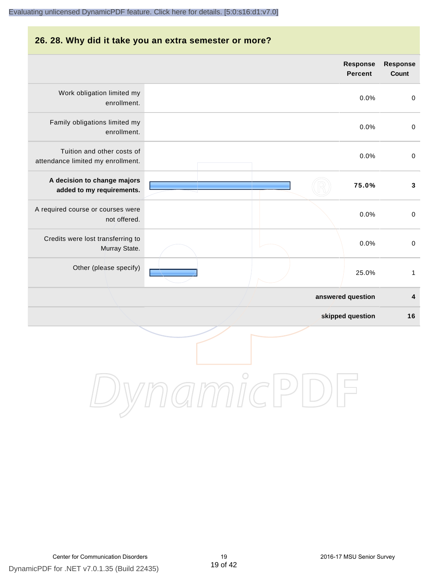#### **26. 28. Why did it take you an extra semester or more?**

|                                                                 | <b>Response</b><br><b>Percent</b> | <b>Response</b><br>Count |
|-----------------------------------------------------------------|-----------------------------------|--------------------------|
| Work obligation limited my<br>enrollment.                       | 0.0%                              | $\pmb{0}$                |
| Family obligations limited my<br>enrollment.                    | 0.0%                              | $\pmb{0}$                |
| Tuition and other costs of<br>attendance limited my enrollment. | 0.0%                              | $\pmb{0}$                |
| A decision to change majors<br>added to my requirements.        | 75.0%                             | $\mathbf{3}$             |
| A required course or courses were<br>not offered.               | 0.0%                              | $\mathbf 0$              |
| Credits were lost transferring to<br>Murray State.              | 0.0%                              | $\mathbf 0$              |
| Other (please specify)                                          | 25.0%                             | $\mathbf{1}$             |
|                                                                 | answered question                 | 4                        |
|                                                                 | skipped question                  | 16                       |
|                                                                 |                                   |                          |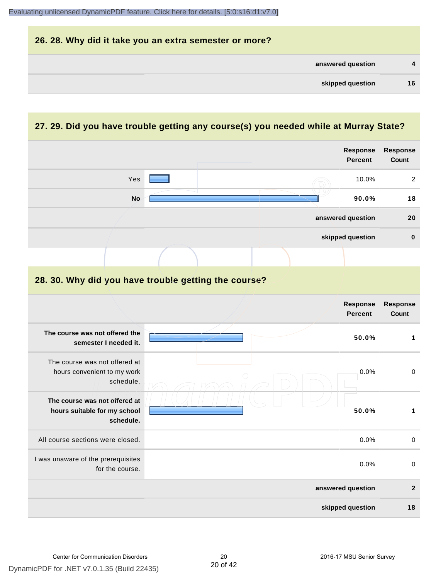

## **27. 29. Did you have trouble getting any course(s) you needed while at Murray State?**

|                                                                            |  |  | <b>Response</b><br><b>Percent</b> | <b>Response</b><br>Count |
|----------------------------------------------------------------------------|--|--|-----------------------------------|--------------------------|
| Yes                                                                        |  |  | 10.0%                             | 2                        |
| <b>No</b>                                                                  |  |  | 90.0%                             | 18                       |
|                                                                            |  |  | answered question                 | 20                       |
|                                                                            |  |  | skipped question                  | $\mathbf 0$              |
|                                                                            |  |  |                                   |                          |
| 28. 30. Why did you have trouble getting the course?                       |  |  |                                   |                          |
|                                                                            |  |  | Response<br><b>Percent</b>        | Response<br>Count        |
| The course was not offered the<br>semester I needed it.                    |  |  | 50.0%                             | $\mathbf{1}$             |
| The course was not offered at<br>hours convenient to my work<br>schedule.  |  |  | 0.0%                              | $\pmb{0}$                |
| The course was not offered at<br>hours suitable for my school<br>schedule. |  |  | 50.0%                             | $\mathbf{1}$             |
| All course sections were closed.                                           |  |  | 0.0%                              | $\mathbf 0$              |
| I was unaware of the prerequisites<br>for the course.                      |  |  | 0.0%                              | $\boldsymbol{0}$         |
|                                                                            |  |  | answered question                 | $\overline{2}$           |
|                                                                            |  |  | skipped question                  | 18                       |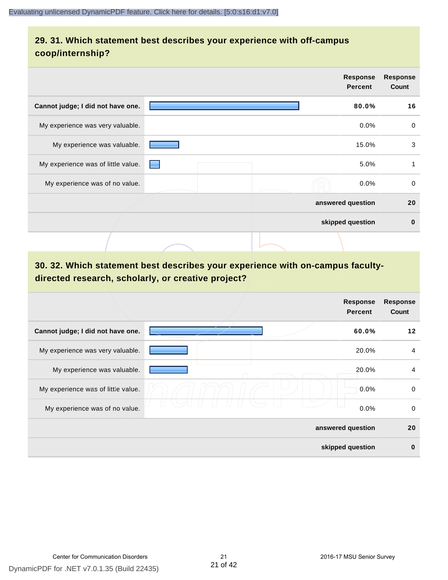# **29. 31. Which statement best describes your experience with off-campus coop/internship?**

|                                    | <b>Response</b><br><b>Percent</b> | <b>Response</b><br>Count |          |
|------------------------------------|-----------------------------------|--------------------------|----------|
| Cannot judge; I did not have one.  |                                   | 80.0%                    | 16       |
| My experience was very valuable.   |                                   | 0.0%                     | 0        |
| My experience was valuable.        |                                   | 15.0%                    | 3        |
| My experience was of little value. | a ser                             | 5.0%                     | 1        |
| My experience was of no value.     |                                   | $0.0\%$                  | 0        |
|                                    | answered question                 |                          | 20       |
|                                    | skipped question                  |                          | $\bf{0}$ |
|                                    |                                   |                          |          |

# **30. 32. Which statement best describes your experience with on-campus facultydirected research, scholarly, or creative project?**

|                                    | <b>Response</b><br><b>Percent</b> | <b>Response</b><br>Count |
|------------------------------------|-----------------------------------|--------------------------|
| Cannot judge; I did not have one.  | 60.0%                             | 12                       |
| My experience was very valuable.   | 20.0%                             | $\overline{4}$           |
| My experience was valuable.        | 20.0%                             | $\overline{4}$           |
| My experience was of little value. | 0.0%                              | 0                        |
| My experience was of no value.     | 0.0%                              | 0                        |
|                                    | answered question                 | 20                       |
|                                    | skipped question                  | $\bf{0}$                 |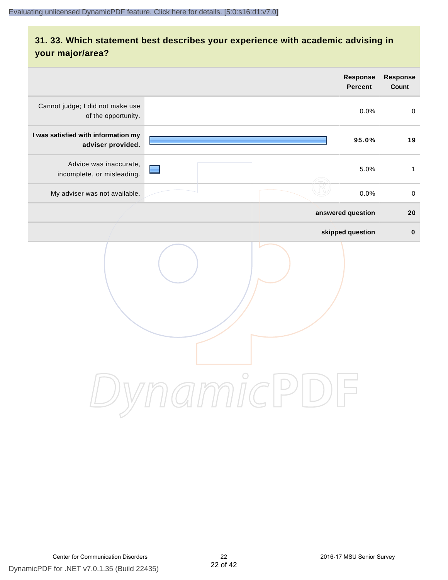# **31. 33. Which statement best describes your experience with academic advising in your major/area?**

|                                                          | <b>Response</b><br><b>Percent</b>                                       | Response<br>Count |
|----------------------------------------------------------|-------------------------------------------------------------------------|-------------------|
| Cannot judge; I did not make use<br>of the opportunity.  | 0.0%                                                                    | $\pmb{0}$         |
| I was satisfied with information my<br>adviser provided. | 95.0%                                                                   | 19                |
| Advice was inaccurate,<br>incomplete, or misleading.     | 5.0%                                                                    | $\mathbf{1}$      |
| My adviser was not available.                            | 0.0%                                                                    | $\pmb{0}$         |
|                                                          | answered question                                                       | 20                |
|                                                          | skipped question                                                        | $\pmb{0}$         |
|                                                          | amicl<br>$\left( \begin{array}{c} \end{array} \right)$<br>$\frac{1}{2}$ |                   |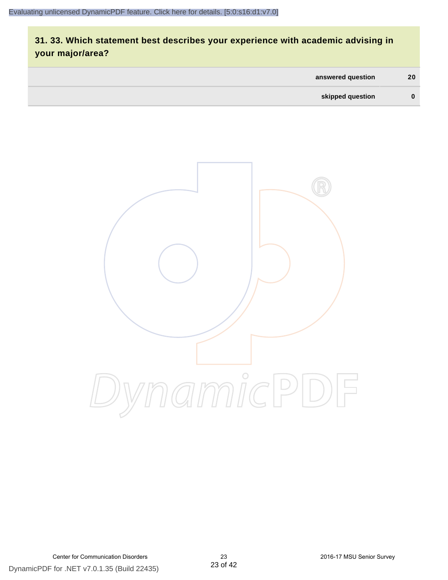# **31. 33. Which statement best describes your experience with academic advising in your major/area?**

| answered question | 20       |
|-------------------|----------|
| skipped question  | $\bf{0}$ |

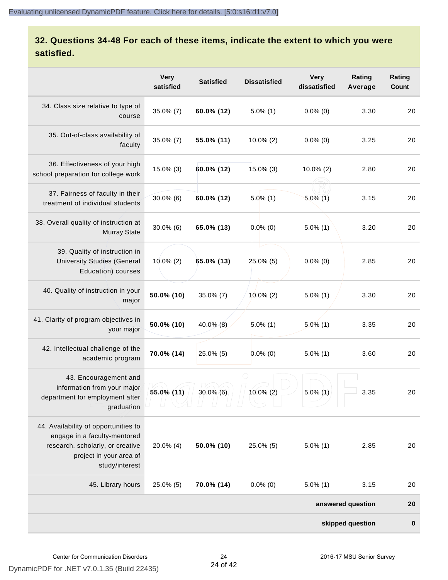# **32. Questions 34-48 For each of these items, indicate the extent to which you were satisfied.**

|                                                                                                                                                       | <b>Very</b><br>satisfied | <b>Satisfied</b> | <b>Dissatisfied</b> | <b>Very</b><br>dissatisfied | Rating<br>Average | Rating<br>Count |
|-------------------------------------------------------------------------------------------------------------------------------------------------------|--------------------------|------------------|---------------------|-----------------------------|-------------------|-----------------|
| 34. Class size relative to type of<br>course                                                                                                          | $35.0\%$ (7)             | 60.0% (12)       | $5.0\%$ (1)         | $0.0\%$ (0)                 | 3.30              | 20              |
| 35. Out-of-class availability of<br>faculty                                                                                                           | $35.0\%$ (7)             | 55.0% (11)       | $10.0\%$ (2)        | $0.0\%$ (0)                 | 3.25              | 20              |
| 36. Effectiveness of your high<br>school preparation for college work                                                                                 | $15.0\%$ (3)             | 60.0% (12)       | $15.0\%$ (3)        | $10.0\%$ (2)                | 2.80              | 20              |
| 37. Fairness of faculty in their<br>treatment of individual students                                                                                  | $30.0\%$ (6)             | 60.0% (12)       | $5.0\%$ (1)         | $5.0\%$ (1)                 | 3.15              | 20              |
| 38. Overall quality of instruction at<br><b>Murray State</b>                                                                                          | $30.0\%$ (6)             | 65.0% (13)       | $0.0\%$ (0)         | $5.0\%$ (1)                 | 3.20              | 20              |
| 39. Quality of instruction in<br><b>University Studies (General</b><br>Education) courses                                                             | $10.0\%$ (2)             | 65.0% (13)       | 25.0% (5)           | $0.0\%$ (0)                 | 2.85              | 20              |
| 40. Quality of instruction in your<br>major                                                                                                           | 50.0% (10)               | 35.0% (7)        | $10.0\%$ (2)        | $5.0\%$ (1)                 | 3.30              | 20              |
| 41. Clarity of program objectives in<br>your major                                                                                                    | 50.0% (10)               | $40.0\%$ (8)     | $5.0\%$ (1)         | $5.0\%$ (1)                 | 3.35              | 20              |
| 42. Intellectual challenge of the<br>academic program                                                                                                 | 70.0% (14)               | 25.0% (5)        | $0.0\%$ (0)         | $5.0\%$ (1)                 | 3.60              | 20              |
| 43. Encouragement and<br>information from your major<br>department for employment after<br>graduation                                                 | 55.0% (11)               | $30.0\%$ (6)     | $10.0\%$ (2)        | $5.0\%$ (1)                 | 3.35              | 20              |
| 44. Availability of opportunities to<br>engage in a faculty-mentored<br>research, scholarly, or creative<br>project in your area of<br>study/interest | $20.0\%$ (4)             | 50.0% (10)       | 25.0% (5)           | $5.0\%$ (1)                 | 2.85              | 20              |
| 45. Library hours                                                                                                                                     | $25.0\%$ (5)             | 70.0% (14)       | $0.0\%$ (0)         | $5.0\%$ (1)                 | 3.15              | 20              |
| answered question                                                                                                                                     |                          |                  |                     |                             |                   |                 |
|                                                                                                                                                       |                          |                  |                     |                             | skipped question  | $\bf{0}$        |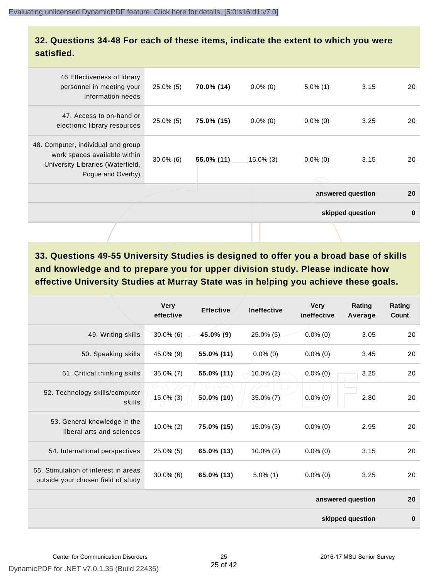## **32. Questions 34-48 For each of these items, indicate the extent to which you were satisfied.**

| 46 Effectiveness of library<br>personnel in meeting your<br>information needs                                                | $25.0\%$ (5) | 70.0% (14) | $0.0\%$ (0)  | $5.0\%$ (1) | 3.15              | 20       |
|------------------------------------------------------------------------------------------------------------------------------|--------------|------------|--------------|-------------|-------------------|----------|
| 47. Access to on-hand or<br>electronic library resources                                                                     | $25.0\%$ (5) | 75.0% (15) | $0.0\%$ (0)  | $0.0\%$ (0) | 3.25              | 20       |
| 48. Computer, individual and group<br>work spaces available within<br>University Libraries (Waterfield,<br>Pogue and Overby) | $30.0\%$ (6) | 55.0% (11) | $15.0\%$ (3) | $0.0\%$ (0) | 3.15              | 20       |
|                                                                                                                              |              |            |              |             | answered question | 20       |
|                                                                                                                              |              |            |              |             | skipped question  | $\bf{0}$ |
|                                                                                                                              |              |            |              |             |                   |          |

**33. Questions 49-55 University Studies is designed to offer you a broad base of skills and knowledge and to prepare you for upper division study. Please indicate how effective University Studies at Murray State was in helping you achieve these goals.**

|                                                                            | <b>Very</b><br>effective | <b>Effective</b> | <b>Ineffective</b> | <b>Very</b><br>ineffective | Rating<br>Average | Rating<br>Count |
|----------------------------------------------------------------------------|--------------------------|------------------|--------------------|----------------------------|-------------------|-----------------|
| 49. Writing skills                                                         | $30.0\%$ (6)             | 45.0% (9)        | $25.0\%$ (5)       | $0.0\%$ (0)                | 3.05              | 20              |
| 50. Speaking skills                                                        | 45.0% (9)                | 55.0% (11)       | $0.0\%$ (0)        | $0.0\%$ (0)                | 3.45              | 20              |
| 51. Critical thinking skills                                               | $35.0\%$ (7)             | 55.0% (11)       | $10.0\%$ (2)       | $0.0\%$ (0)                | 3.25              | 20              |
| 52. Technology skills/computer<br>skills                                   | $15.0\%$ (3)             | 50.0% (10)       | $35.0\%$ (7)       | $0.0\%$ (0)                | 2.80              | 20              |
| 53. General knowledge in the<br>liberal arts and sciences                  | $10.0\%$ (2)             | 75.0% (15)       | $15.0\%$ (3)       | $0.0\%$ (0)                | 2.95              | 20              |
| 54. International perspectives                                             | $25.0\%$ (5)             | 65.0% (13)       | $10.0\%$ (2)       | $0.0\%$ (0)                | 3.15              | 20              |
| 55. Stimulation of interest in areas<br>outside your chosen field of study | $30.0\%$ (6)             | 65.0% (13)       | $5.0\%$ (1)        | $0.0\%$ (0)                | 3.25              | 20              |
|                                                                            |                          |                  |                    |                            | answered question | 20              |
|                                                                            |                          |                  |                    |                            | skipped question  | $\bf{0}$        |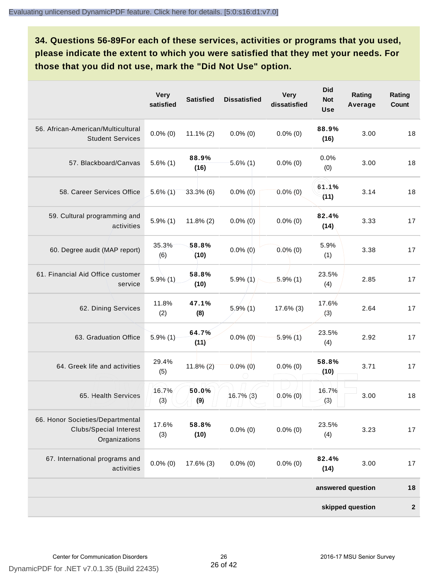**34. Questions 56-89For each of these services, activities or programs that you used, please indicate the extent to which you were satisfied that they met your needs. For those that you did not use, mark the "Did Not Use" option.**

|                                                                                    | <b>Very</b><br>satisfied | <b>Satisfied</b> | <b>Dissatisfied</b> | <b>Very</b><br>dissatisfied | <b>Did</b><br><b>Not</b><br><b>Use</b> | Rating<br>Average | Rating<br>Count  |
|------------------------------------------------------------------------------------|--------------------------|------------------|---------------------|-----------------------------|----------------------------------------|-------------------|------------------|
| 56. African-American/Multicultural<br><b>Student Services</b>                      | $0.0\%$ (0)              | $11.1\% (2)$     | $0.0\%$ (0)         | $0.0\%$ (0)                 | 88.9%<br>(16)                          | 3.00              | 18               |
| 57. Blackboard/Canvas                                                              | $5.6\%$ (1)              | 88.9%<br>(16)    | $5.6\%$ (1)         | $0.0\%$ (0)                 | 0.0%<br>(0)                            | 3.00              | 18               |
| 58. Career Services Office                                                         | $5.6\%$ (1)              | 33.3%(6)         | $0.0\%$ (0)         | $0.0\%$ (0)                 | 61.1%<br>(11)                          | 3.14              | 18               |
| 59. Cultural programming and<br>activities                                         | $5.9\%$ (1)              | $11.8\%$ (2)     | $0.0\%$ (0)         | $0.0\%$ (0)                 | 82.4%<br>(14)                          | 3.33              | 17               |
| 60. Degree audit (MAP report)                                                      | 35.3%<br>(6)             | 58.8%<br>(10)    | $0.0\%$ (0)         | $0.0\%$ (0)                 | 5.9%<br>(1)                            | 3.38              | 17               |
| 61. Financial Aid Office customer<br>service                                       | $5.9\%(1)$               | 58.8%<br>(10)    | $5.9\%$ (1)         | $5.9\%$ (1)                 | 23.5%<br>(4)                           | 2.85              | 17               |
| 62. Dining Services                                                                | 11.8%<br>(2)             | 47.1%<br>(8)     | $5.9\%$ (1)         | 17.6% (3)                   | 17.6%<br>(3)                           | 2.64              | 17               |
| 63. Graduation Office                                                              | $5.9\%$ (1)              | 64.7%<br>(11)    | $0.0\%$ (0)         | $5.9\%$ (1)                 | 23.5%<br>(4)                           | 2.92              | 17               |
| 64. Greek life and activities                                                      | 29.4%<br>(5)             | $11.8\%$ (2)     | $0.0\%$ (0)         | $0.0\%$ (0)                 | 58.8%<br>(10)                          | 3.71              | 17               |
| 65. Health Services                                                                | 16.7%<br>(3)             | 50.0%<br>(9)     | $16.7\%$ (3)        | $0.0\%$ (0)                 | 16.7%<br>(3)                           | 3.00              | 18               |
| 66. Honor Societies/Departmental<br><b>Clubs/Special Interest</b><br>Organizations | 17.6%<br>(3)             | 58.8%<br>(10)    | $0.0\%$ (0)         | $0.0\%$ (0)                 | 23.5%<br>(4)                           | 3.23              | 17               |
| 67. International programs and<br>activities                                       | $0.0\%$ (0)              | 17.6% (3)        | $0.0\%$ (0)         | $0.0\%$ (0)                 | 82.4%<br>(14)                          | 3.00              | 17               |
|                                                                                    |                          |                  |                     |                             |                                        | answered question | 18               |
|                                                                                    |                          |                  |                     |                             |                                        | skipped question  | $\boldsymbol{2}$ |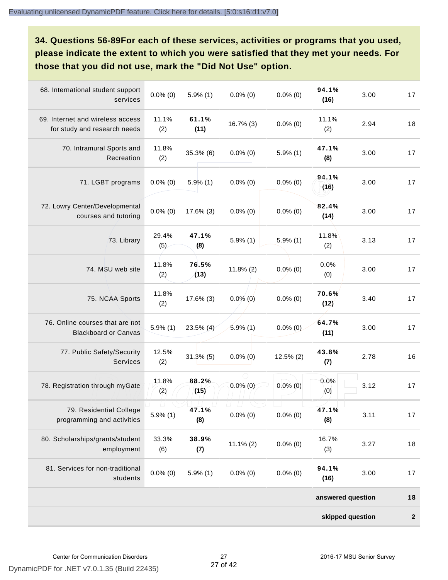**34. Questions 56-89For each of these services, activities or programs that you used, please indicate the extent to which you were satisfied that they met your needs. For those that you did not use, mark the "Did Not Use" option.**

| 68. International student support<br>services                    | $0.0\%$ (0)  | $5.9\%$ (1)   | $0.0\%$ (0)  | $0.0\%$ (0)  | 94.1%<br>(16)     | 3.00 | 17           |
|------------------------------------------------------------------|--------------|---------------|--------------|--------------|-------------------|------|--------------|
| 69. Internet and wireless access<br>for study and research needs | 11.1%<br>(2) | 61.1%<br>(11) | 16.7% (3)    | $0.0\%$ (0)  | 11.1%<br>(2)      | 2.94 | 18           |
| 70. Intramural Sports and<br>Recreation                          | 11.8%<br>(2) | 35.3%(6)      | $0.0\%$ (0)  | $5.9\%$ (1)  | 47.1%<br>(8)      | 3.00 | 17           |
| 71. LGBT programs                                                | $0.0\%$ (0)  | $5.9\%$ (1)   | $0.0\%$ (0)  | $0.0\%$ (0)  | 94.1%<br>(16)     | 3.00 | 17           |
| 72. Lowry Center/Developmental<br>courses and tutoring           | $0.0\%$ (0)  | 17.6% (3)     | $0.0\%$ (0)  | $0.0\%$ (0)  | 82.4%<br>(14)     | 3.00 | 17           |
| 73. Library                                                      | 29.4%<br>(5) | 47.1%<br>(8)  | $5.9\%$ (1)  | $5.9\%$ (1)  | 11.8%<br>(2)      | 3.13 | 17           |
| 74. MSU web site                                                 | 11.8%<br>(2) | 76.5%<br>(13) | $11.8\%$ (2) | $0.0\%$ (0)  | 0.0%<br>(0)       | 3.00 | 17           |
| 75. NCAA Sports                                                  | 11.8%<br>(2) | 17.6% (3)     | $0.0\%$ (0)  | $0.0\%$ (0)  | 70.6%<br>(12)     | 3.40 | 17           |
| 76. Online courses that are not<br><b>Blackboard or Canvas</b>   | $5.9\%$ (1)  | 23.5% (4)     | $5.9\%$ (1)  | $0.0\%$ (0)  | 64.7%<br>(11)     | 3.00 | 17           |
| 77. Public Safety/Security<br><b>Services</b>                    | 12.5%<br>(2) | $31.3\%$ (5)  | $0.0\%$ (0)  | $12.5\%$ (2) | 43.8%<br>(7)      | 2.78 | 16           |
| 78. Registration through myGate                                  | 11.8%<br>(2) | 88.2%<br>(15) | $0.0\%$ (0)  | $0.0\%$ (0)  | 0.0%<br>(0)       | 3.12 | 17           |
| 79. Residential College<br>programming and activities            | $5.9\%$ (1)  | 47.1%<br>(8)  | $0.0\%$ (0)  | $0.0\%$ (0)  | 47.1%<br>(8)      | 3.11 | 17           |
| 80. Scholarships/grants/student<br>employment                    | 33.3%<br>(6) | 38.9%<br>(7)  | $11.1\% (2)$ | $0.0\%$ (0)  | 16.7%<br>(3)      | 3.27 | 18           |
| 81. Services for non-traditional<br>students                     | $0.0\%$ (0)  | $5.9\%$ (1)   | $0.0\%$ (0)  | $0.0\%$ (0)  | 94.1%<br>(16)     | 3.00 | 17           |
|                                                                  |              |               |              |              | answered question |      | 18           |
|                                                                  |              |               |              |              | skipped question  |      | $\mathbf{2}$ |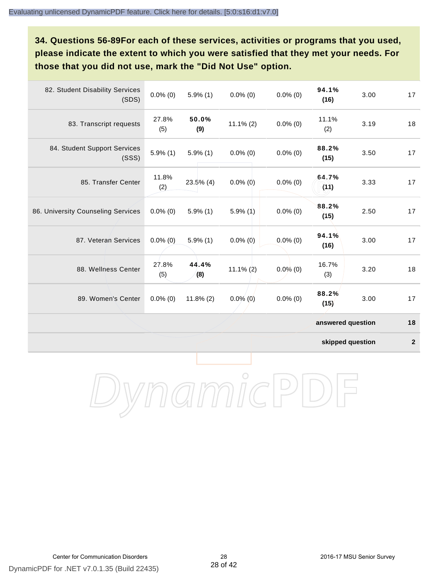# **34. Questions 56-89For each of these services, activities or programs that you used, please indicate the extent to which you were satisfied that they met your needs. For those that you did not use, mark the "Did Not Use" option.**

| 82. Student Disability Services<br>(SDS) | $0.0\%$ (0)  | $5.9\%$ (1)  | $0.0\%$ (0)  | $0.0\%$ (0) | 94.1%<br>(16)     | 3.00 | 17 |
|------------------------------------------|--------------|--------------|--------------|-------------|-------------------|------|----|
| 83. Transcript requests                  | 27.8%<br>(5) | 50.0%<br>(9) | $11.1\% (2)$ | $0.0\%$ (0) | 11.1%<br>(2)      | 3.19 | 18 |
| 84. Student Support Services<br>(SSS)    | $5.9\%$ (1)  | $5.9\%$ (1)  | $0.0\%$ (0)  | $0.0\%$ (0) | 88.2%<br>(15)     | 3.50 | 17 |
| 85. Transfer Center                      | 11.8%<br>(2) | $23.5\%$ (4) | $0.0\%$ (0)  | $0.0\%$ (0) | 64.7%<br>(11)     | 3.33 | 17 |
| 86. University Counseling Services       | $0.0\%$ (0)  | $5.9\%$ (1)  | $5.9\%$ (1)  | $0.0\%$ (0) | 88.2%<br>(15)     | 2.50 | 17 |
| 87. Veteran Services                     | $0.0\%$ (0)  | $5.9\%$ (1)  | $0.0\%$ (0)  | $0.0\%$ (0) | 94.1%<br>(16)     | 3.00 | 17 |
| 88. Wellness Center                      | 27.8%<br>(5) | 44.4%<br>(8) | $11.1\%$ (2) | $0.0\%$ (0) | 16.7%<br>(3)      | 3.20 | 18 |
| 89. Women's Center                       | $0.0\%$ (0)  | $11.8\%$ (2) | $0.0\%$ (0)  | $0.0\%$ (0) | 88.2%<br>(15)     | 3.00 | 17 |
|                                          |              |              |              |             | answered question |      | 18 |

**skipped question 2**

DynamicPDF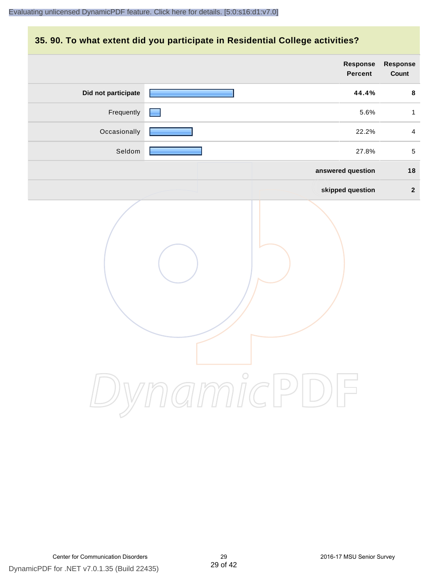## **35. 90. To what extent did you participate in Residential College activities?**

|                     | Response<br>Percent   | Response<br>Count |
|---------------------|-----------------------|-------------------|
| Did not participate | 44.4%                 | $\bf8$            |
| Frequently          | 5.6%                  | $\mathbf{1}$      |
| Occasionally        | 22.2%                 | $\overline{4}$    |
| Seldom              | 27.8%                 | $\overline{5}$    |
|                     | answered question     | $18$              |
|                     | skipped question      | $\overline{2}$    |
|                     | ynamicPI<br>$\bigcup$ |                   |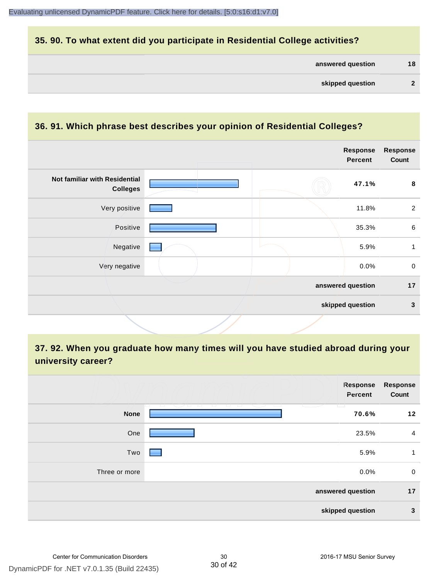# **35. 90. To what extent did you participate in Residential College activities?**

| answered question |  | 18 |
|-------------------|--|----|
|-------------------|--|----|

#### **36. 91. Which phrase best describes your opinion of Residential Colleges?**

|                                                  |                   | Response<br><b>Percent</b> | <b>Response</b><br>Count |
|--------------------------------------------------|-------------------|----------------------------|--------------------------|
| Not familiar with Residential<br><b>Colleges</b> |                   | 47.1%                      | 8                        |
| Very positive                                    |                   | 11.8%                      | $\overline{2}$           |
| Positive                                         |                   | 35.3%                      | $\,6\,$                  |
| Negative                                         |                   | 5.9%                       | 1                        |
| Very negative                                    |                   | 0.0%                       | $\mathbf 0$              |
|                                                  | answered question |                            | 17                       |
|                                                  | skipped question  |                            | $\mathbf{3}$             |

**37. 92. When you graduate how many times will you have studied abroad during your university career?**

|               | Response<br>Percent | Response<br>Count |
|---------------|---------------------|-------------------|
| <b>None</b>   | $\sim$<br>70.6%     | 12                |
| One           | 23.5%               | $\overline{4}$    |
| Two           | 5.9%                | 1                 |
| Three or more | 0.0%                | $\mathbf 0$       |
|               | answered question   | 17                |
|               | skipped question    | 3                 |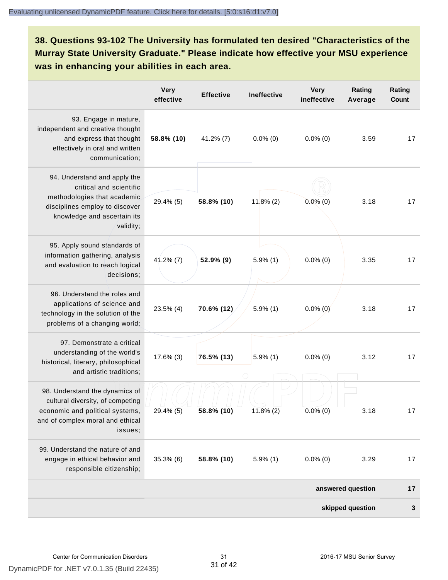**38. Questions 93-102 The University has formulated ten desired "Characteristics of the Murray State University Graduate." Please indicate how effective your MSU experience was in enhancing your abilities in each area.**

|                                                                                                                                                                      | <b>Very</b><br>effective | <b>Effective</b> | <b>Ineffective</b> | <b>Very</b><br>ineffective | Rating<br>Average | Rating<br>Count |
|----------------------------------------------------------------------------------------------------------------------------------------------------------------------|--------------------------|------------------|--------------------|----------------------------|-------------------|-----------------|
| 93. Engage in mature,<br>independent and creative thought<br>and express that thought<br>effectively in oral and written<br>communication;                           | 58.8% (10)               | $41.2\%$ (7)     | $0.0\%$ (0)        | $0.0\%$ (0)                | 3.59              | 17              |
| 94. Understand and apply the<br>critical and scientific<br>methodologies that academic<br>disciplines employ to discover<br>knowledge and ascertain its<br>validity; | 29.4% (5)                | 58.8% (10)       | $11.8\%$ (2)       | $0.0\%$ (0)                | 3.18              | 17              |
| 95. Apply sound standards of<br>information gathering, analysis<br>and evaluation to reach logical<br>decisions;                                                     | $41.2\%$ (7)             | 52.9% (9)        | $5.9\%$ (1)        | $0.0\%$ (0)                | 3.35              | 17              |
| 96. Understand the roles and<br>applications of science and<br>technology in the solution of the<br>problems of a changing world;                                    | 23.5% (4)                | 70.6% (12)       | $5.9\%$ (1)        | $0.0\%$ (0)                | 3.18              | 17              |
| 97. Demonstrate a critical<br>understanding of the world's<br>historical, literary, philosophical<br>and artistic traditions;                                        | 17.6% (3)                | 76.5% (13)       | $5.9\%$ (1)        | $0.0\%$ (0)                | 3.12              | 17              |
| 98. Understand the dynamics of<br>cultural diversity, of competing<br>economic and political systems,<br>and of complex moral and ethical<br>issues;                 | 29.4% (5)                | 58.8% (10)       | $11.8\%$ (2)       | $0.0\%$ (0)                | 3.18              | 17              |
| 99. Understand the nature of and<br>engage in ethical behavior and<br>responsible citizenship;                                                                       | $35.3\%$ (6)             | 58.8% (10)       | $5.9\%$ (1)        | $0.0\%$ (0)                | 3.29              | 17              |
|                                                                                                                                                                      |                          |                  |                    |                            | answered question | 17              |
|                                                                                                                                                                      |                          |                  |                    |                            | skipped question  | 3               |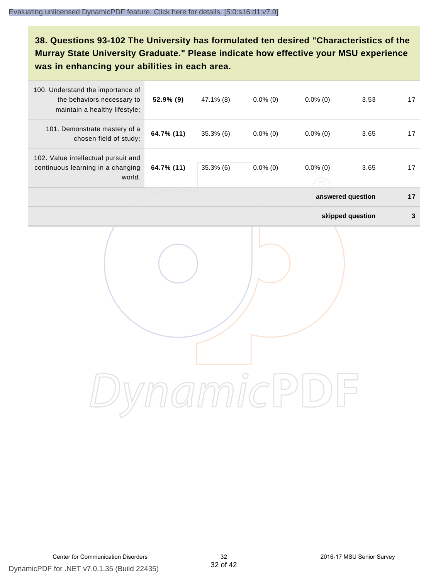# **38. Questions 93-102 The University has formulated ten desired "Characteristics of the Murray State University Graduate." Please indicate how effective your MSU experience was in enhancing your abilities in each area.**

| 100. Understand the importance of<br>the behaviors necessary to<br>maintain a healthy lifestyle; | 52.9% (9)  | 47.1% (8)    | $0.0\%$ (0) | $0.0\%$ (0) | 3.53              | 17          |
|--------------------------------------------------------------------------------------------------|------------|--------------|-------------|-------------|-------------------|-------------|
| 101. Demonstrate mastery of a<br>chosen field of study;                                          | 64.7% (11) | $35.3\%$ (6) | $0.0\%$ (0) | $0.0\%$ (0) | 3.65              | 17          |
| 102. Value intellectual pursuit and<br>continuous learning in a changing<br>world.               | 64.7% (11) | $35.3\%$ (6) | $0.0\%$ (0) | $0.0\%$ (0) | 3.65              | $17$        |
|                                                                                                  |            |              |             |             | answered question | 17          |
|                                                                                                  |            |              |             |             | skipped question  | $\mathbf 3$ |
|                                                                                                  |            |              |             |             |                   |             |
|                                                                                                  |            |              |             |             |                   |             |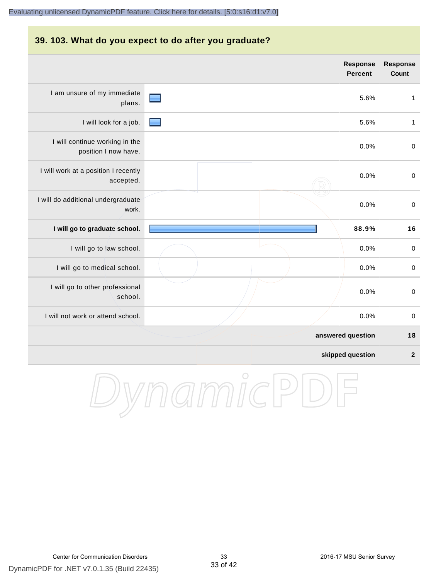#### **39. 103. What do you expect to do after you graduate?**

|                                                        |  | <b>Response</b><br><b>Percent</b> | <b>Response</b><br><b>Count</b> |
|--------------------------------------------------------|--|-----------------------------------|---------------------------------|
| I am unsure of my immediate<br>plans.                  |  | 5.6%                              | $\mathbf{1}$                    |
| I will look for a job.                                 |  | 5.6%                              | $\mathbf{1}$                    |
| I will continue working in the<br>position I now have. |  | 0.0%                              | $\boldsymbol{0}$                |
| I will work at a position I recently<br>accepted.      |  | 0.0%                              | $\pmb{0}$                       |
| I will do additional undergraduate<br>work.            |  | 0.0%                              | $\boldsymbol{0}$                |
| I will go to graduate school.                          |  | 88.9%                             | 16                              |
| I will go to law school.                               |  | 0.0%                              | $\pmb{0}$                       |
| I will go to medical school.                           |  | 0.0%                              | $\pmb{0}$                       |
| I will go to other professional<br>school.             |  | 0.0%                              | $\boldsymbol{0}$                |
| I will not work or attend school.                      |  | 0.0%                              | $\mathbf 0$                     |
|                                                        |  | answered question                 | 18                              |
|                                                        |  | skipped question                  | $\overline{\mathbf{2}}$         |

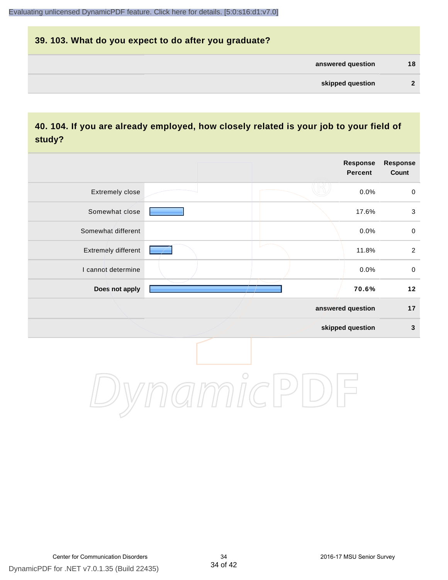# **39. 103. What do you expect to do after you graduate? answered question 18 skipped question 2**

# **40. 104. If you are already employed, how closely related is your job to your field of study?**

|                     |                                                                         | <b>Response</b><br><b>Percent</b> | <b>Response</b><br>Count |
|---------------------|-------------------------------------------------------------------------|-----------------------------------|--------------------------|
| Extremely close     |                                                                         | 0.0%                              | $\mathsf{O}$             |
| Somewhat close      |                                                                         | 17.6%                             | $\sqrt{3}$               |
| Somewhat different  |                                                                         | 0.0%                              | $\pmb{0}$                |
| Extremely different |                                                                         | 11.8%                             | $\overline{2}$           |
| I cannot determine  |                                                                         | 0.0%                              | $\mathbf 0$              |
| Does not apply      |                                                                         | 70.6%                             | 12                       |
|                     |                                                                         | answered question                 | 17                       |
|                     |                                                                         | skipped question                  | $\mathbf{3}$             |
|                     | $\gamma$ $\gamma$ $\gamma$ $\gamma$ $\gamma$ $\gamma$ $\gamma$ $\gamma$ |                                   |                          |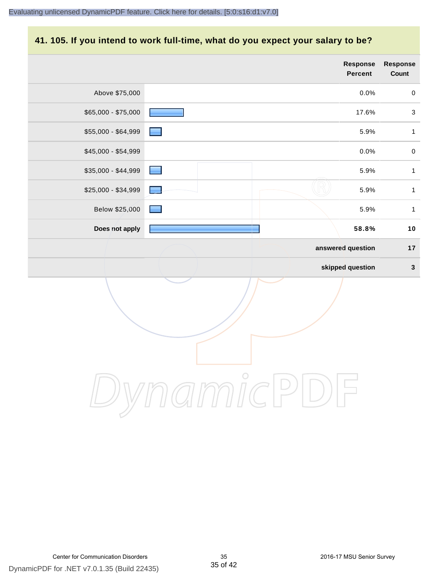# **41. 105. If you intend to work full-time, what do you expect your salary to be?**

|                     |                   | Response<br><b>Percent</b> | Response<br>Count |
|---------------------|-------------------|----------------------------|-------------------|
| Above \$75,000      |                   | 0.0%                       | $\pmb{0}$         |
| $$65,000 - $75,000$ |                   | 17.6%                      | $\mathsf 3$       |
| \$55,000 - \$64,999 |                   | 5.9%                       | $\mathbf{1}$      |
| \$45,000 - \$54,999 |                   | 0.0%                       | $\pmb{0}$         |
| \$35,000 - \$44,999 | <b>Reserve</b>    | 5.9%                       | $\mathbf{1}$      |
| \$25,000 - \$34,999 | <b>The Second</b> | 5.9%                       | $\mathbf{1}$      |
| Below \$25,000      |                   | 5.9%                       | $\mathbf{1}$      |
| Does not apply      |                   | 58.8%                      | $10$              |
|                     |                   | answered question          | $17$              |
|                     |                   | skipped question           | $\mathbf{3}$      |
|                     |                   |                            |                   |
|                     | $\bigcirc$        |                            |                   |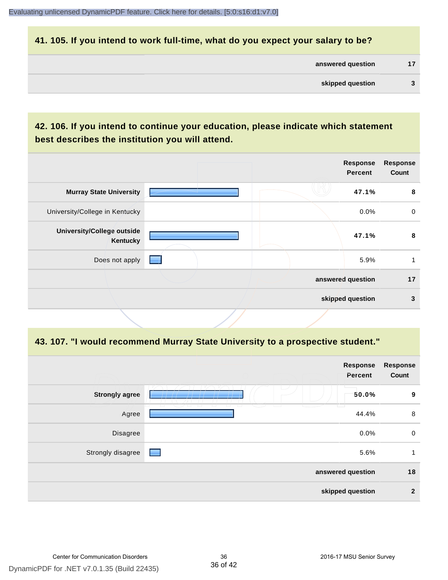#### **41. 105. If you intend to work full-time, what do you expect your salary to be?**

| answered question |  |
|-------------------|--|
|                   |  |

# **42. 106. If you intend to continue your education, please indicate which statement best describes the institution you will attend.**

|                                               |  | <b>Response</b><br><b>Percent</b> | <b>Response</b><br>Count |
|-----------------------------------------------|--|-----------------------------------|--------------------------|
| <b>Murray State University</b>                |  | 47.1%                             | 8                        |
| University/College in Kentucky                |  | $0.0\%$                           | $\mathbf 0$              |
| <b>University/College outside</b><br>Kentucky |  | 47.1%                             | 8                        |
| Does not apply                                |  | 5.9%                              |                          |
|                                               |  | answered question                 | 17                       |
|                                               |  | skipped question                  | 3                        |
|                                               |  |                                   |                          |

#### **43. 107. "I would recommend Murray State University to a prospective student."**

| <b>Response</b><br>Count | Response<br>Percent |                                                                 |                       |
|--------------------------|---------------------|-----------------------------------------------------------------|-----------------------|
| 9                        | 50.0%<br>Ħ          |                                                                 | <b>Strongly agree</b> |
| 8                        | 44.4%               | $\overline{\phantom{a}}$<br>73<br>u<br>$\sqrt{2}$<br>$\sqrt{2}$ | Agree                 |
| $\mathbf 0$              | 0.0%                |                                                                 | Disagree              |
| 1                        | 5.6%                |                                                                 | Strongly disagree     |
| 18                       | answered question   |                                                                 |                       |
| $\overline{2}$           | skipped question    |                                                                 |                       |
|                          |                     |                                                                 |                       |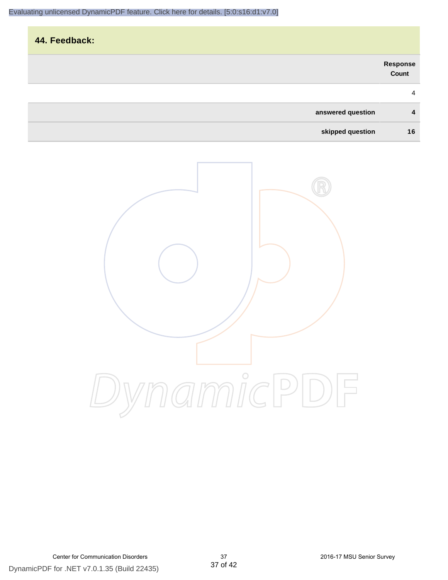| 44. Feedback: |                   |                   |
|---------------|-------------------|-------------------|
|               |                   | Response<br>Count |
|               |                   | $\overline{4}$    |
|               | answered question | 4                 |
|               | skipped question  | 16                |

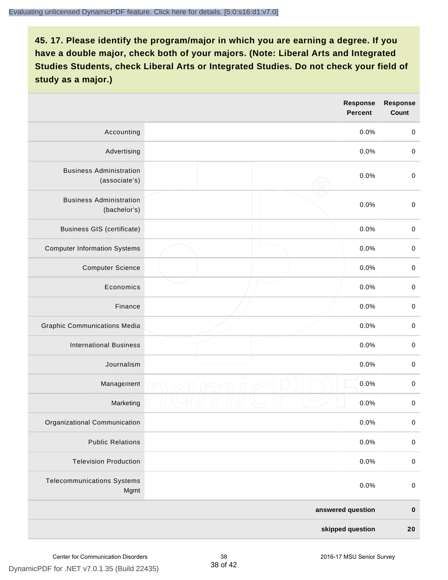|                                                 | <b>Response</b><br><b>Percent</b> | <b>Response</b><br>Count |
|-------------------------------------------------|-----------------------------------|--------------------------|
| Accounting                                      | 0.0%                              | $\mathbf 0$              |
| Advertising                                     | 0.0%                              | $\pmb{0}$                |
| <b>Business Administration</b><br>(associate's) | 0.0%                              | $\pmb{0}$                |
| <b>Business Administration</b><br>(bachelor's)  | 0.0%                              | $\pmb{0}$                |
| <b>Business GIS (certificate)</b>               | 0.0%                              | $\mathbf 0$              |
| <b>Computer Information Systems</b>             | 0.0%                              | $\pmb{0}$                |
| <b>Computer Science</b>                         | 0.0%                              | $\mathbf 0$              |
| Economics                                       | 0.0%                              | $\pmb{0}$                |
| Finance                                         | 0.0%                              | $\pmb{0}$                |
| <b>Graphic Communications Media</b>             | 0.0%                              | $\mathbf 0$              |
| <b>International Business</b>                   | 0.0%                              | $\pmb{0}$                |
| Journalism                                      | 0.0%                              | $\mathbf 0$              |
| Management                                      | 0.0%                              | $\pmb{0}$                |
| Marketing                                       | 0.0%                              | $\,0\,$                  |
| Organizational Communication                    | 0.0%                              | $\pmb{0}$                |
| <b>Public Relations</b>                         | 0.0%                              | $\mathbf 0$              |
| <b>Television Production</b>                    | 0.0%                              | $\mathsf 0$              |
| <b>Telecommunications Systems</b><br>Mgmt       | 0.0%                              | $\mathbf 0$              |
|                                                 | answered question                 | $\pmb{0}$                |
|                                                 | skipped question                  | 20                       |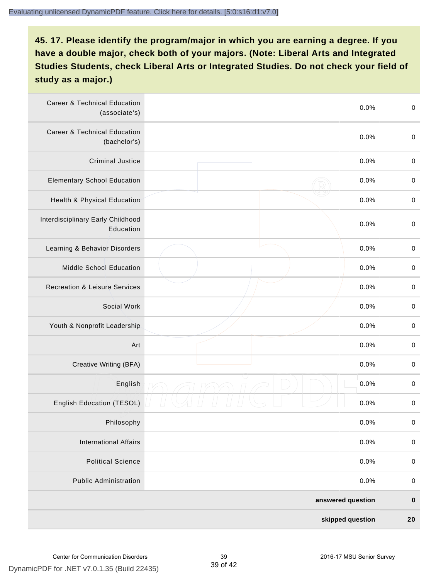| <b>Career &amp; Technical Education</b><br>(associate's) | 0.0%              | $\pmb{0}$   |
|----------------------------------------------------------|-------------------|-------------|
| <b>Career &amp; Technical Education</b><br>(bachelor's)  | 0.0%              | $\mathbf 0$ |
| <b>Criminal Justice</b>                                  | 0.0%              | $\,0\,$     |
| <b>Elementary School Education</b>                       | 0.0%              | $\,0\,$     |
| Health & Physical Education                              | 0.0%              | $\,0\,$     |
| Interdisciplinary Early Childhood<br>Education           | 0.0%              | $\pmb{0}$   |
| Learning & Behavior Disorders                            | 0.0%              | $\,0\,$     |
| Middle School Education                                  | 0.0%              | $\mathbf 0$ |
| <b>Recreation &amp; Leisure Services</b>                 | 0.0%              | $\mathbf 0$ |
| Social Work                                              | 0.0%              | $\mathbf 0$ |
| Youth & Nonprofit Leadership                             | 0.0%              | $\mathbf 0$ |
| Art                                                      | 0.0%              | $\,0\,$     |
| Creative Writing (BFA)                                   | 0.0%              | $\pmb{0}$   |
| English                                                  | 0.0%              | $\pmb{0}$   |
| English Education (TESOL)                                | 0.0%              | $\pmb{0}$   |
| Philosophy                                               | 0.0%              | 0           |
| <b>International Affairs</b>                             | 0.0%              | $\pmb{0}$   |
| <b>Political Science</b>                                 | 0.0%              | $\mathbf 0$ |
| <b>Public Administration</b>                             | 0.0%              | $\mathbf 0$ |
|                                                          | answered question | $\pmb{0}$   |
|                                                          | skipped question  | 20          |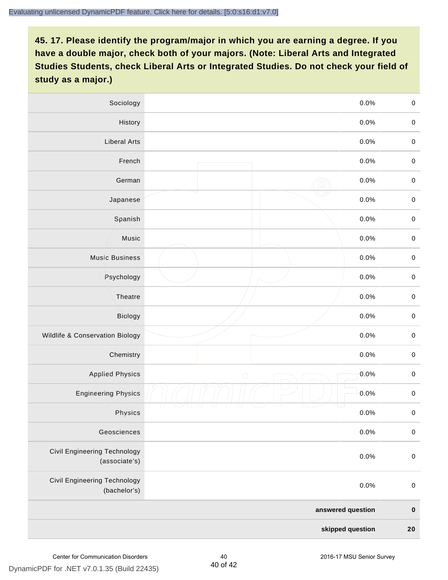| Sociology                                     |                   | 0.0%<br>$\mathbf 0$    |
|-----------------------------------------------|-------------------|------------------------|
| History                                       |                   | $0.0\%$<br>$\mathbf 0$ |
| <b>Liberal Arts</b>                           |                   | 0.0%<br>$\mathbf 0$    |
| French                                        |                   | 0.0%<br>$\pmb{0}$      |
| German                                        |                   | 0.0%<br>$\mathbf 0$    |
| Japanese                                      |                   | 0.0%<br>$\mathsf 0$    |
| Spanish                                       |                   | 0.0%<br>$\mathbf 0$    |
| Music                                         |                   | 0.0%<br>$\mathbf 0$    |
| <b>Music Business</b>                         |                   | $\pmb{0}$<br>0.0%      |
| Psychology                                    |                   | 0.0%<br>$\mathbf 0$    |
| Theatre                                       |                   | 0.0%<br>$\mathbf 0$    |
| Biology                                       |                   | 0.0%<br>$\mathbf 0$    |
| Wildlife & Conservation Biology               |                   | 0.0%<br>$\mathbf 0$    |
| Chemistry                                     |                   | 0.0%<br>$\pmb{0}$      |
| <b>Applied Physics</b>                        | $\bigcirc$        | 0.0%<br>$\mathbf 0$    |
| <b>Engineering Physics</b>                    |                   | 0.0%<br>$\mathbf 0$    |
| Physics                                       |                   | 0.0%<br>$\mathbf 0$    |
| Geosciences                                   |                   | 0.0%<br>$\mathbf 0$    |
| Civil Engineering Technology<br>(associate's) |                   | 0.0%<br>$\pmb{0}$      |
| Civil Engineering Technology<br>(bachelor's)  |                   | 0.0%<br>$\pmb{0}$      |
|                                               | answered question | $\pmb{0}$              |
|                                               | skipped question  |                        |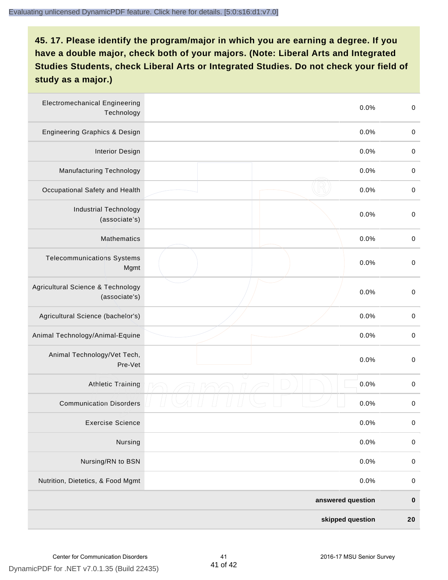| <b>Electromechanical Engineering</b><br>Technology |                  | 0.0%              | $\mathbf 0$ |
|----------------------------------------------------|------------------|-------------------|-------------|
| <b>Engineering Graphics &amp; Design</b>           |                  | 0.0%              | $\mathbf 0$ |
| <b>Interior Design</b>                             |                  | 0.0%              | $\,0\,$     |
| <b>Manufacturing Technology</b>                    |                  | 0.0%              | $\,0\,$     |
| Occupational Safety and Health                     |                  | 0.0%              | $\pmb{0}$   |
| <b>Industrial Technology</b><br>(associate's)      |                  | 0.0%              | $\,0\,$     |
| <b>Mathematics</b>                                 |                  | 0.0%              | $\,0\,$     |
| <b>Telecommunications Systems</b><br>Mgmt          |                  | 0.0%              | $\,0\,$     |
| Agricultural Science & Technology<br>(associate's) |                  | 0.0%              | $\mathbf 0$ |
| Agricultural Science (bachelor's)                  |                  | 0.0%              | $\mathbf 0$ |
| Animal Technology/Animal-Equine                    |                  | 0.0%              | $\,0\,$     |
| Animal Technology/Vet Tech,<br>Pre-Vet             |                  | 0.0%              | $\,0\,$     |
| <b>Athletic Training</b>                           |                  | 0.0%              | $\,0\,$     |
| <b>Communication Disorders</b>                     |                  | 0.0%              | $\,0\,$     |
| <b>Exercise Science</b>                            |                  | 0.0%              | $\pmb{0}$   |
| Nursing                                            |                  | 0.0%              | $\mathbf 0$ |
| Nursing/RN to BSN                                  |                  | 0.0%              | $\pmb{0}$   |
| Nutrition, Dietetics, & Food Mgmt                  |                  | 0.0%              | $\,0\,$     |
|                                                    |                  | answered question | $\pmb{0}$   |
|                                                    | skipped question |                   | ${\bf 20}$  |